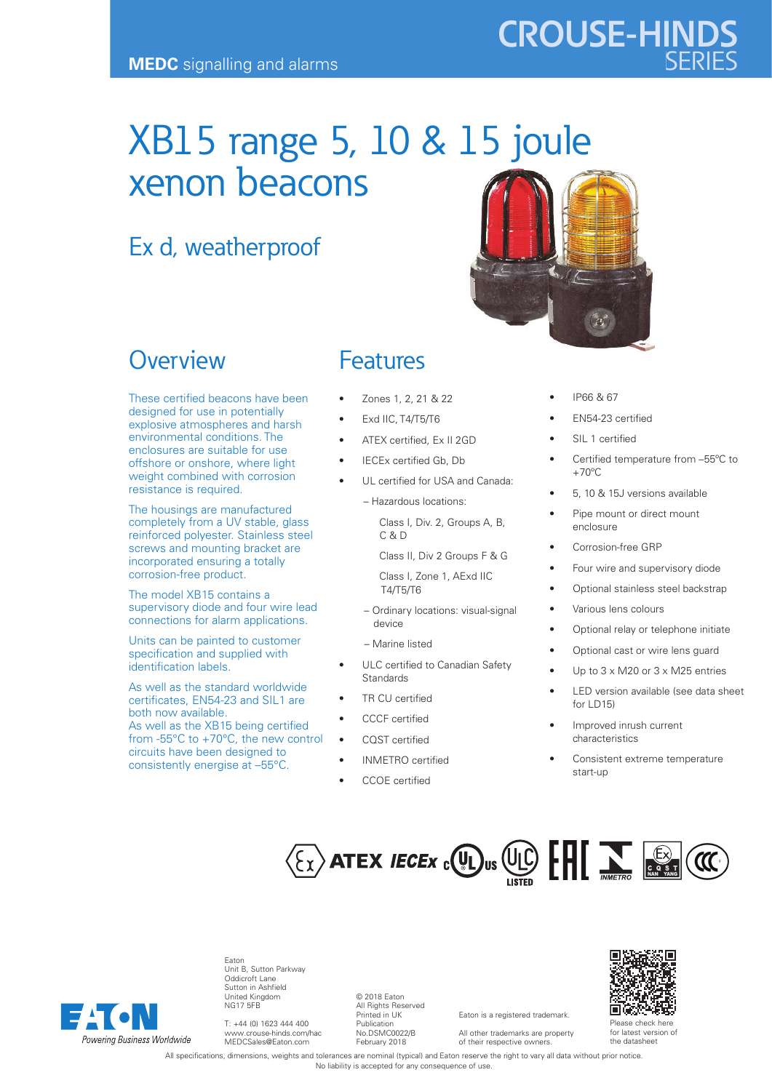# XB15 range 5, 10 & 15 joule xenon beacons

# Ex d, weatherproof



# **Overview**

These certified beacons have been designed for use in potentially explosive atmospheres and harsh environmental conditions. The enclosures are suitable for use offshore or onshore, where light weight combined with corrosion resistance is required.

The housings are manufactured completely from a UV stable, glass reinforced polyester. Stainless steel screws and mounting bracket are incorporated ensuring a totally corrosion-free product.

The model XB15 contains a supervisory diode and four wire lead connections for alarm applications.

Units can be painted to customer specification and supplied with identification labels.

As well as the standard worldwide certificates, EN54-23 and SIL1 are both now available. As well as the XB15 being certified from -55°C to +70°C, the new control circuits have been designed to consistently energise at -55°C.

### Features

- Zones 1, 2, 21 & 22
- **Exd IIC, T4/T5/T6**
- ATEX certified, Ex II 2GD
- IECEx certified Gb, Db
	- UL certified for USA and Canada:
		- Hazardous locations:

 Class I, Div. 2, Groups A, B, f C & D

Class II, Div 2 Groups F & G

 Class I, Zone 1, AExd IIC T4/T5/T6

- Ordinary locations: visual-signal device
- Marine listed
- ULC certified to Canadian Safety Standards
- TR CU certified
- CCCF certified
- COST certified
- INMETRO certified
- CCOE certified
- IP66 & 67
- EN54-23 certified

**CROUSE-HINDS**

- SIL 1 certified
- Certified temperature from -55°C to  $+70^{\circ}$ C
- 5, 10 & 15J versions available
- Pipe mount or direct mount enclosure
- Corrosion-free GRP
- Four wire and supervisory diode
- Optional stainless steel backstrap
	- Various lens colours
- Optional relay or telephone initiate
- Optional cast or wire lens guard
- Up to  $3 \times M20$  or  $3 \times M25$  entries
- LED version available (see data sheet for LD15)
- Improved inrush current characteristics
- Consistent extreme temperature start-up



Eaton is a registered trademark. All other trademarks are property of their respective owners.



Eaton Unit B, Sutton Parkway Oddicroft Lane Sutton in Ashfield United Kingdom NG17 5FB

T: +44 (0) 1623 444 400 www.crouse-hinds.com/hac MEDCSales@Eaton.com

© 2018 Eaton All Rights Reserved Printed in UK Publication No.DSMC0022/B February 2018

回收效

Please check here for latest version of the datasheet

All specifications, dimensions, weights and tolerances are nominal (typical) and Eaton reserve the right to vary all data without prior notice. No liability is accepted for any consequence of use.